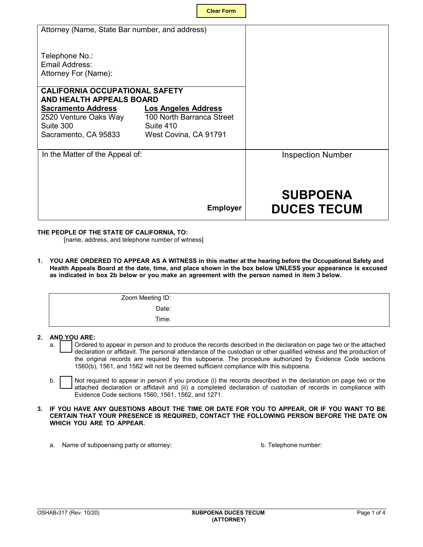| Attorney (Name, State Bar number, and address)                    |                                                         |                                       |
|-------------------------------------------------------------------|---------------------------------------------------------|---------------------------------------|
| Telephone No.:<br>Email Address:<br>Attorney For (Name):          |                                                         |                                       |
| <b>CALIFORNIA OCCUPATIONAL SAFETY</b><br>AND HEALTH APPEALS BOARD |                                                         |                                       |
| <b>Sacramento Address</b><br>2520 Venture Oaks Way                | <b>Los Angeles Address</b><br>100 North Barranca Street |                                       |
| Suite 300<br>Sacramento, CA 95833                                 | Suite 410<br>West Covina, CA 91791                      |                                       |
|                                                                   |                                                         |                                       |
| In the Matter of the Appeal of:                                   |                                                         | <b>Inspection Number</b>              |
|                                                                   |                                                         |                                       |
|                                                                   | <b>Employer</b>                                         | <b>SUBPOENA</b><br><b>DUCES TECUM</b> |

## **THE PEOPLE OF THE STATE OF CALIFORNIA, TO:**

[name, address, and telephone number of witness]

**1. YOU ARE ORDERED TO APPEAR AS A WITNESS in this matter at the hearing before the Occupational Safety and Health Appeals Board at the date, time, and place shown in the box below UNLESS your appearance is excused as indicated in box 2b below or you make an agreement with the person named in item 3 below.**

| Zoom Meeting ID: |  |
|------------------|--|
| Date:            |  |
| Time:            |  |

# **2. AND YOU ARE:**

- declaration or affidavit. The personal attendance of the custodian or other qualified witness and the production of a. Cordered to appear in person and to produce the records described in the declaration on page two or the attached the original records are required by this subpoena. The procedure authorized by Evidence Code sections 1560(b), 1561, and 1562 will not be deemed sufficient compliance with this subpoena.
- Not required to appear in person if you produce (i) the records described in the declaration on page two or the attached declaration or affidavit and (ii) a completed declaration of custodian of records in compliance with Evidence Code sections 1560, 1561, 1562, and 1271. b.

#### **3. IF YOU HAVE ANY QUESTIONS ABOUT THE TIME OR DATE FOR YOU TO APPEAR, OR IF YOU WANT TO BE CERTAIN THAT YOUR PRESENCE IS REQUIRED, CONTACT THE FOLLOWING PERSON BEFORE THE DATE ON WHICH YOU ARE TO APPEAR.**

a. Name of subpoenaing party or attorney:

b. Telephone number: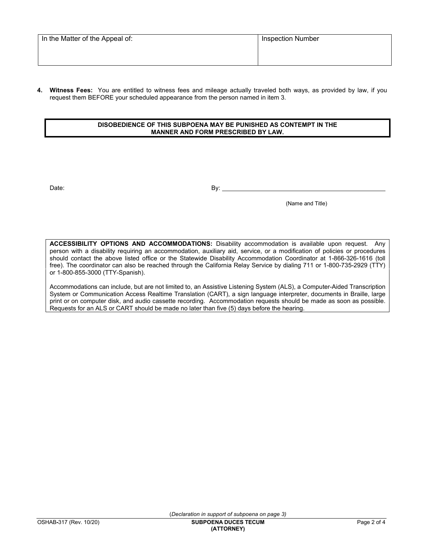**Witness Fees:** You are entitled to witness fees and mileage actually traveled both ways, as provided by law, if you request them BEFORE your scheduled appearance from the person named in item 3. **4.**

# **DISOBEDIENCE OF THIS SUBPOENA MAY BE PUNISHED AS CONTEMPT IN THE MANNER AND FORM PRESCRIBED BY LAW.**

Date: By: Books and the set of the set of the set of the set of the set of the set of the set of the set of the set of the set of the set of the set of the set of the set of the set of the set of the set of the set of the

 $\overline{a}$ 

(Name and Title)

 **ACCESSIBILITY OPTIONS AND ACCOMMODATIONS:** Disability accommodation is available upon request. Any should contact the above listed office or the Statewide Disability Accommodation Coordinator at 1-866-326-1616 (toll free). The coordinator can also be reached through the California Relay Service by dialing 711 or 1-800-735-2929 (TTY) person with a disability requiring an accommodation, auxiliary aid, service, or a modification of policies or procedures or 1-800-855-3000 (TTY-Spanish).

 System or Communication Access Realtime Translation (CART), a sign language interpreter, documents in Braille, large print or on computer disk, and audio cassette recording. Accommodation requests should be made as soon as possible. Accommodations can include, but are not limited to, an Assistive Listening System (ALS), a Computer-Aided Transcription Requests for an ALS or CART should be made no later than five (5) days before the hearing.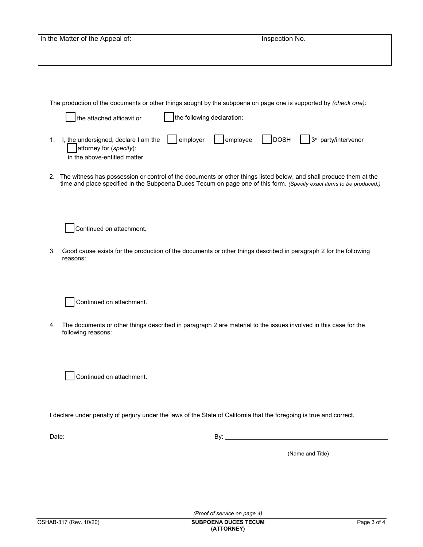| In the Matter of the Appeal of:                                                                                 | Inspection No. |  |  |  |  |  |
|-----------------------------------------------------------------------------------------------------------------|----------------|--|--|--|--|--|
|                                                                                                                 |                |  |  |  |  |  |
|                                                                                                                 |                |  |  |  |  |  |
|                                                                                                                 |                |  |  |  |  |  |
|                                                                                                                 |                |  |  |  |  |  |
| The production of the documents or other things sought by the subpoena on page one is supported by (check one): |                |  |  |  |  |  |

| ∫the attached affidavit or                                                                               | the following declaration: |  |  |                                                                                         |  |
|----------------------------------------------------------------------------------------------------------|----------------------------|--|--|-----------------------------------------------------------------------------------------|--|
| I, the undersigned, declare I am the $\vert$<br>attorney for (specify):<br>in the above-entitled matter. |                            |  |  | $\vert$ employer $\vert$ employee $\vert$ DOSH $\vert$ 3 <sup>rd</sup> party/intervenor |  |

2. The witness has possession or control of the documents or other things listed below, and shall produce them at the time and place specified in the Subpoena Duces Tecum on page one of this form. *(Specify exact items to be produced.)*

Continued on attachment.

 reasons: 3. Good cause exists for the production of the documents or other things described in paragraph 2 for the following

Continued on attachment.

4. The documents or other things described in paragraph 2 are material to the issues involved in this case for the following reasons:

Continued on attachment.

 $\overline{a}$ I declare under penalty of perjury under the laws of the State of California that the foregoing is true and correct.

Date: By:

(Name and Title)